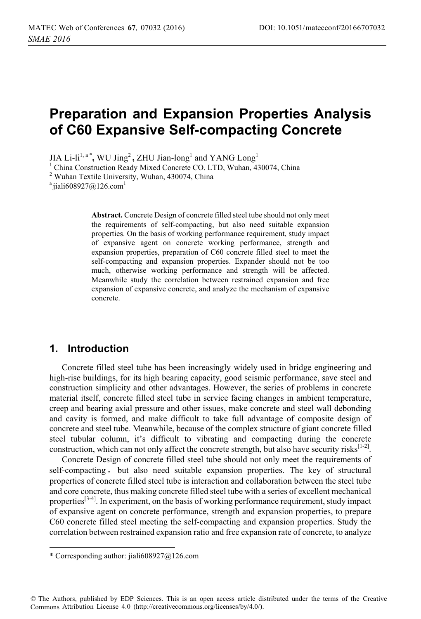# **Preparation and Expansion Properties Analysis of C60 Expansive Self-compacting Concrete**

 $JIA$  Li-li<sup>1, a</sup>  $^*$ , WU Jing<sup>2</sup>, ZHU Jian-long<sup>1</sup> and YANG  $\rm Long^1$ 

<sup>1</sup> China Construction Ready Mixed Concrete CO. LTD, Wuhan, 430074, China

<sup>2</sup> Wuhan Textile University, Wuhan, 430074, China

<sup>a</sup> jiali608927@126.com<sup>1</sup>

**Abstract.** Concrete Design of concrete filled steel tube should not only meet the requirements of self-compacting, but also need suitable expansion properties. On the basis of working performance requirement, study impact of expansive agent on concrete working performance, strength and expansion properties, preparation of C60 concrete filled steel to meet the self-compacting and expansion properties. Expander should not be too much, otherwise working performance and strength will be affected. Meanwhile study the correlation between restrained expansion and free expansion of expansive concrete, and analyze the mechanism of expansive concrete.

#### **1. Introduction**

Concrete filled steel tube has been increasingly widely used in bridge engineering and high-rise buildings, for its high bearing capacity, good seismic performance, save steel and construction simplicity and other advantages. However, the series of problems in concrete material itself, concrete filled steel tube in service facing changes in ambient temperature, creep and bearing axial pressure and other issues, make concrete and steel wall debonding and cavity is formed, and make difficult to take full advantage of composite design of concrete and steel tube. Meanwhile, because of the complex structure of giant concrete filled steel tubular column, it's difficult to vibrating and compacting during the concrete construction, which can not only affect the concrete strength, but also have security risks $[1-2]$ .

Concrete Design of concrete filled steel tube should not only meet the requirements of self-compacting, but also need suitable expansion properties. The key of structural properties of concrete filled steel tube is interaction and collaboration between the steel tube and core concrete, thus making concrete filled steel tube with a series of excellent mechanical properties $[3-4]$ . In experiment, on the basis of working performance requirement, study impact of expansive agent on concrete performance, strength and expansion properties, to prepare C60 concrete filled steel meeting the self-compacting and expansion properties. Study the correlation between restrained expansion ratio and free expansion rate of concrete, to analyze

 $\overline{a}$ 

<sup>\*</sup> Corresponding author: jiali608927@126.com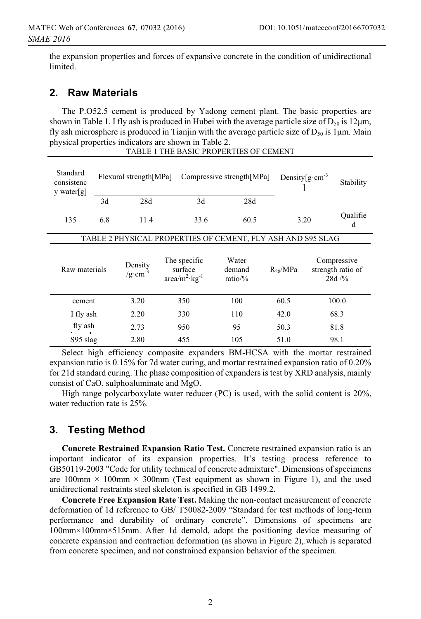the expansion properties and forces of expansive concrete in the condition of unidirectional limited.

### **2. Raw Materials**

The P.O52.5 cement is produced by Yadong cement plant. The basic properties are shown in Table 1. I fly ash is produced in Hubei with the average particle size of  $D_{50}$  is 12 $\mu$ m, fly ash microsphere is produced in Tianjin with the average particle size of  $D_{50}$  is 1 $\mu$ m. Main physical properties indicators are shown in Table 2.

TABLE 1 THE BASIC PROPERTIES OF CEMENT

| Standard<br>consistenc<br>y water[g]                        | Flexural strength[MPa]<br>Compressive strength[MPa] |                                |                                                   |              |                            | Density $\left[g\cdot cm^{-3}\right]$ | Stability    |  |                                           |
|-------------------------------------------------------------|-----------------------------------------------------|--------------------------------|---------------------------------------------------|--------------|----------------------------|---------------------------------------|--------------|--|-------------------------------------------|
|                                                             | 3d                                                  | 28d                            |                                                   | 3d           | 28d                        |                                       |              |  |                                           |
| 135                                                         | 6.8                                                 | 11.4                           |                                                   | 33.6<br>60.5 |                            |                                       | 3.20         |  | Qualifie<br>d                             |
| TABLE 2 PHYSICAL PROPERTIES OF CEMENT, FLY ASH AND S95 SLAG |                                                     |                                |                                                   |              |                            |                                       |              |  |                                           |
| Raw materials                                               |                                                     | Density<br>/g·cm <sup>-3</sup> | The specific<br>surface<br>$area/m^2$ · $kg^{-1}$ |              | Water<br>demand<br>ratio/% |                                       | $R_{28}/MPa$ |  | Compressive<br>strength ratio of<br>28d/% |
| cement                                                      |                                                     | 3.20                           | 350                                               |              | 100                        |                                       | 60.5         |  | 100.0                                     |
| I fly ash                                                   |                                                     | 2.20                           | 330                                               |              | 110                        |                                       | 42.0         |  | 68.3                                      |
| fly ash                                                     |                                                     | 2.73                           |                                                   | 950          | 95                         |                                       | 50.3         |  | 81.8                                      |
| $S95$ slag                                                  |                                                     | 2.80                           | 455                                               |              | 105                        |                                       | 51.0         |  | 98.1                                      |

Select high efficiency composite expanders BM-HCSA with the mortar restrained expansion ratio is 0.15% for 7d water curing, and mortar restrained expansion ratio of 0.20% for 21d standard curing. The phase composition of expanders is test by XRD analysis, mainly consist of CaO, sulphoaluminate and MgO.

High range polycarboxylate water reducer (PC) is used, with the solid content is 20%, water reduction rate is 25%.

# **3. Testing Method**

**Concrete Restrained Expansion Ratio Test.** Concrete restrained expansion ratio is an important indicator of its expansion properties. It's testing process reference to GB50119-2003 "Code for utility technical of concrete admixture". Dimensions of specimens are 100mm  $\times$  100mm  $\times$  300mm (Test equipment as shown in Figure 1), and the used unidirectional restraints steel skeleton is specified in GB 1499.2.

**Concrete Free Expansion Rate Test.** Making the non-contact measurement of concrete deformation of 1d reference to GB/ T50082-2009 "Standard for test methods of long-term performance and durability of ordinary concrete". Dimensions of specimens are 100mm×100mm×515mm. After 1d demold, adopt the positioning device measuring of concrete expansion and contraction deformation (as shown in Figure 2),.which is separated from concrete specimen, and not constrained expansion behavior of the specimen.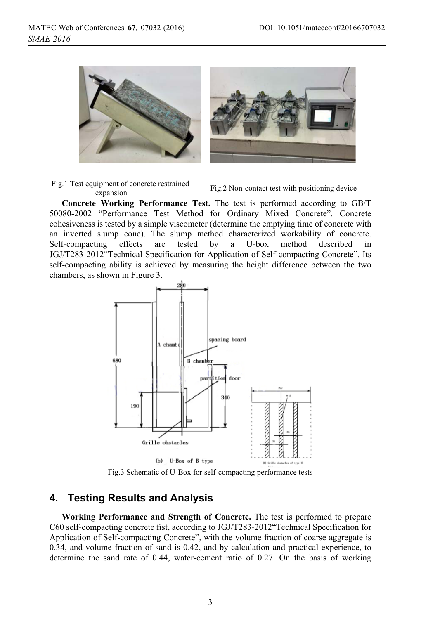

Fig.1 Test equipment of concrete restrained

Fig.2 Non-contact test with positioning device<br>expansion

**Concrete Working Performance Test.** The test is performed according to GB/T 50080-2002 "Performance Test Method for Ordinary Mixed Concrete". Concrete cohesiveness is tested by a simple viscometer (determine the emptying time of concrete with an inverted slump cone). The slump method characterized workability of concrete. Self-compacting effects are tested by a U-box method described in JGJ/T283-2012"Technical Specification for Application of Self-compacting Concrete". Its self-compacting ability is achieved by measuring the height difference between the two chambers, as shown in Figure 3.



Fig.3 Schematic of U-Box for self-compacting performance tests

### **4. Testing Results and Analysis**

**Working Performance and Strength of Concrete.** The test is performed to prepare C60 self-compacting concrete fist, according to JGJ/T283-2012"Technical Specification for Application of Self-compacting Concrete", with the volume fraction of coarse aggregate is 0.34, and volume fraction of sand is 0.42, and by calculation and practical experience, to determine the sand rate of 0.44, water-cement ratio of 0.27. On the basis of working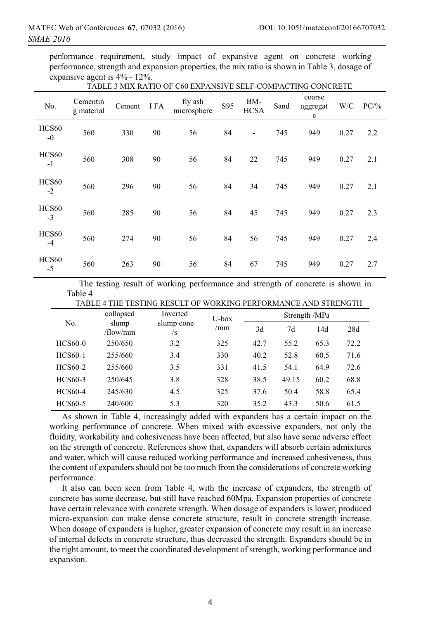performance requirement, study impact of expansive agent on concrete working performance, strength and expansion properties, the mix ratio is shown in Table 3, dosage of expansive agent is  $4\%$  12%.

| No.           | Cementin<br>g material | Cement | I FA | fly ash<br>microsphere | S95 | BM-<br><b>HCSA</b>       | Sand | coarse<br>aggregat<br>e | W/C  | PC/% |
|---------------|------------------------|--------|------|------------------------|-----|--------------------------|------|-------------------------|------|------|
| HCS60<br>$-0$ | 560                    | 330    | 90   | 56                     | 84  | $\overline{\phantom{a}}$ | 745  | 949                     | 0.27 | 2.2  |
| HCS60<br>$-1$ | 560                    | 308    | 90   | 56                     | 84  | 22                       | 745  | 949                     | 0.27 | 2.1  |
| HCS60<br>$-2$ | 560                    | 296    | 90   | 56                     | 84  | 34                       | 745  | 949                     | 0.27 | 2.1  |
| HCS60<br>$-3$ | 560                    | 285    | 90   | 56                     | 84  | 45                       | 745  | 949                     | 0.27 | 2.3  |
| HCS60<br>$-4$ | 560                    | 274    | 90   | 56                     | 84  | 56                       | 745  | 949                     | 0.27 | 2.4  |
| HCS60<br>$-5$ | 560                    | 263    | 90   | 56                     | 84  | 67                       | 745  | 949                     | 0.27 | 2.7  |

#### TABLE 3 MIX RATIO OF C60 EXPANSIVE SELF-COMPACTING CONCRETE

The testing result of working performance and strength of concrete is shown in Table 4

| TABLE 4 THE TESTING RESULT OF WORKING FERFORMANCE AND STRENGTH |           |            |              |               |       |      |      |  |  |
|----------------------------------------------------------------|-----------|------------|--------------|---------------|-------|------|------|--|--|
| No.                                                            | collapsed | Inverted   | U-box<br>/mm | Strength /MPa |       |      |      |  |  |
|                                                                | slump     | slump cone |              | 3d            | 7d    | 14d  | 28d  |  |  |
|                                                                | /flow/mm  | /s         |              |               |       |      |      |  |  |
| <b>HCS60-0</b>                                                 | 250/650   | 3.2        | 325          | 42.7          | 55.2  | 65.3 | 72.2 |  |  |
| <b>HCS60-1</b>                                                 | 255/660   | 3.4        | 330          | 40.2          | 52.8  | 60.5 | 71.6 |  |  |
| <b>HCS60-2</b>                                                 | 255/660   | 3.5        | 331          | 41.5          | 54.1  | 64.9 | 72.6 |  |  |
| HCS60-3                                                        | 250/645   | 3.8        | 328          | 38.5          | 49.15 | 60.2 | 68.8 |  |  |
| HCS60-4                                                        | 245/630   | 4.5        | 325          | 37.6          | 50.4  | 58.8 | 65.4 |  |  |
| HCS60-5                                                        | 240/600   | 5.3        | 320          | 35.2          | 43.3  | 50.6 | 61.5 |  |  |

TESTING RESULT OF WORKING REREORMANCE AND STRENGTH

As shown in Table 4, increasingly added with expanders has a certain impact on the working performance of concrete. When mixed with excessive expanders, not only the fluidity, workability and cohesiveness have been affected, but also have some adverse effect on the strength of concrete. References show that, expanders will absorb certain admixtures and water, which will cause reduced working performance and increased cohesiveness, thus the content of expanders should not be too much from the considerations of concrete working performance.

It also can been seen from Table 4, with the increase of expanders, the strength of concrete has some decrease, but still have reached 60Mpa. Expansion properties of concrete have certain relevance with concrete strength. When dosage of expanders is lower, produced micro-expansion can make dense concrete structure, result in concrete strength increase. When dosage of expanders is higher, greater expansion of concrete may result in an increase of internal defects in concrete structure, thus decreased the strength. Expanders should be in the right amount, to meet the coordinated development of strength, working performance and expansion.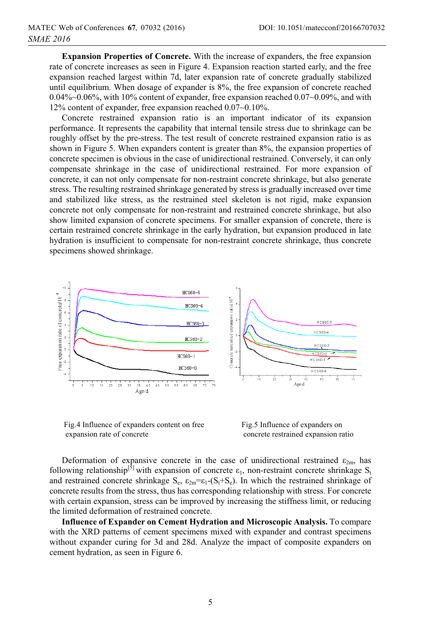**Expansion Properties of Concrete.** With the increase of expanders, the free expansion rate of concrete increases as seen in Figure 4. Expansion reaction started early, and the free expansion reached largest within 7d, later expansion rate of concrete gradually stabilized until equilibrium. When dosage of expander is 8%, the free expansion of concrete reached 0.04%~0.06%, with 10% content of expander, free expansion reached 0.07~0.09%, and with 12% content of expander, free expansion reached 0.07~0.10%.

Concrete restrained expansion ratio is an important indicator of its expansion performance. It represents the capability that internal tensile stress due to shrinkage can be roughly offset by the pre-stress. The test result of concrete restrained expansion ratio is as shown in Figure 5. When expanders content is greater than 8%, the expansion properties of concrete specimen is obvious in the case of unidirectional restrained. Conversely, it can only compensate shrinkage in the case of unidirectional restrained. For more expansion of concrete, it can not only compensate for non-restraint concrete shrinkage, but also generate stress. The resulting restrained shrinkage generated by stress is gradually increased over time and stabilized like stress, as the restrained steel skeleton is not rigid, make expansion concrete not only compensate for non-restraint and restrained concrete shrinkage, but also show limited expansion of concrete specimens. For smaller expansion of concrete, there is certain restrained concrete shrinkage in the early hydration, but expansion produced in late hydration is insufficient to compensate for non-restraint concrete shrinkage, thus concrete specimens showed shrinkage.



 Fig.4 Influence of expanders content on free expansion rate of concrete

 Fig.5 Influence of expanders on concrete restrained expansion ratio

Deformation of expansive concrete in the case of unidirectional restrained  $\varepsilon_{2m}$ , has following relationship<sup>[5]</sup> with expansion of concrete  $\varepsilon_1$ , non-restraint concrete shrinkage S<sub>t</sub> and restrained concrete shrinkage  $S_e$ ,  $\varepsilon_{2m} = \varepsilon_1 - (S_t + S_e)$ . In which the restrained shrinkage of concrete results from the stress, thus has corresponding relationship with stress. For concrete with certain expansion, stress can be improved by increasing the stiffness limit, or reducing the limited deformation of restrained concrete.

**Influence of Expander on Cement Hydration and Microscopic Analysis.** To compare with the XRD patterns of cement specimens mixed with expander and contrast specimens without expander curing for 3d and 28d. Analyze the impact of composite expanders on cement hydration, as seen in Figure 6.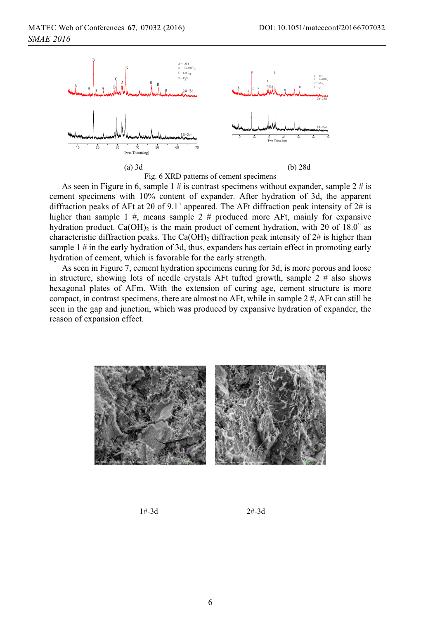

Fig. 6 XRD patterns of cement specimens

As seen in Figure in 6, sample 1 # is contrast specimens without expander, sample 2 # is cement specimens with 10% content of expander. After hydration of 3d, the apparent diffraction peaks of AFt at 20 of 9.1° appeared. The AFt diffraction peak intensity of 2# is higher than sample 1 #, means sample 2 # produced more AFt, mainly for expansive hydration product. Ca(OH)<sub>2</sub> is the main product of cement hydration, with 20 of 18.0° as characteristic diffraction peaks. The Ca(OH)<sub>2</sub> diffraction peak intensity of  $2\#$  is higher than sample 1 # in the early hydration of 3d, thus, expanders has certain effect in promoting early hydration of cement, which is favorable for the early strength.

As seen in Figure 7, cement hydration specimens curing for 3d, is more porous and loose in structure, showing lots of needle crystals AFt tufted growth, sample 2 # also shows hexagonal plates of AFm. With the extension of curing age, cement structure is more compact, in contrast specimens, there are almost no AFt, while in sample  $2 \#$ , AFt can still be seen in the gap and junction, which was produced by expansive hydration of expander, the reason of expansion effect.